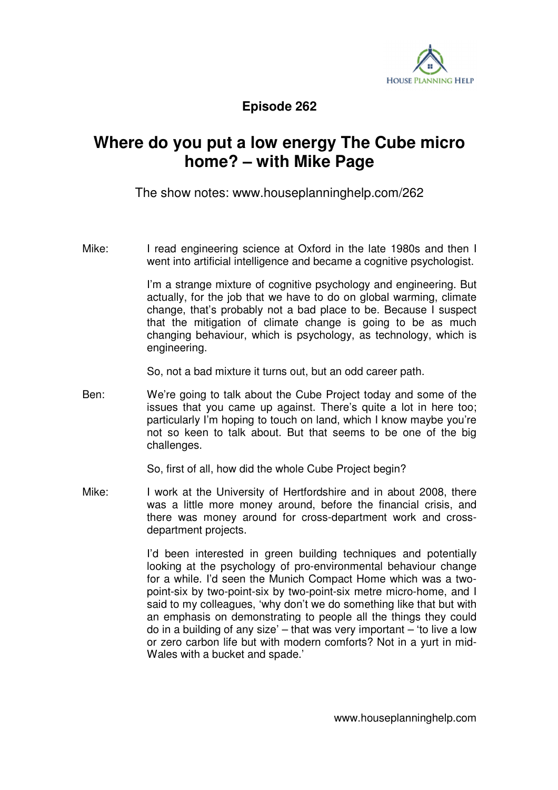

**Episode 262** 

## **Where do you put a low energy The Cube micro home? – with Mike Page**

The show notes: www.houseplanninghelp.com/262

Mike: I read engineering science at Oxford in the late 1980s and then I went into artificial intelligence and became a cognitive psychologist.

> I'm a strange mixture of cognitive psychology and engineering. But actually, for the job that we have to do on global warming, climate change, that's probably not a bad place to be. Because I suspect that the mitigation of climate change is going to be as much changing behaviour, which is psychology, as technology, which is engineering.

So, not a bad mixture it turns out, but an odd career path.

Ben: We're going to talk about the Cube Project today and some of the issues that you came up against. There's quite a lot in here too; particularly I'm hoping to touch on land, which I know maybe you're not so keen to talk about. But that seems to be one of the big challenges.

So, first of all, how did the whole Cube Project begin?

Mike: I work at the University of Hertfordshire and in about 2008, there was a little more money around, before the financial crisis, and there was money around for cross-department work and crossdepartment projects.

> I'd been interested in green building techniques and potentially looking at the psychology of pro-environmental behaviour change for a while. I'd seen the Munich Compact Home which was a twopoint-six by two-point-six by two-point-six metre micro-home, and I said to my colleagues, 'why don't we do something like that but with an emphasis on demonstrating to people all the things they could do in a building of any size' – that was very important – 'to live a low or zero carbon life but with modern comforts? Not in a yurt in mid-Wales with a bucket and spade.'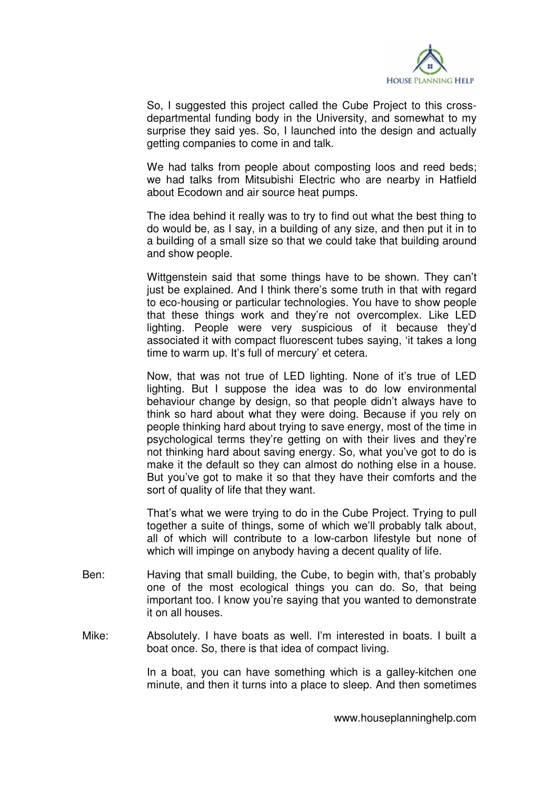

 So, I suggested this project called the Cube Project to this crossdepartmental funding body in the University, and somewhat to my surprise they said yes. So, I launched into the design and actually getting companies to come in and talk.

We had talks from people about composting loos and reed beds; we had talks from Mitsubishi Electric who are nearby in Hatfield about Ecodown and air source heat pumps.

 The idea behind it really was to try to find out what the best thing to do would be, as I say, in a building of any size, and then put it in to a building of a small size so that we could take that building around and show people.

 Wittgenstein said that some things have to be shown. They can't just be explained. And I think there's some truth in that with regard to eco-housing or particular technologies. You have to show people that these things work and they're not overcomplex. Like LED lighting. People were very suspicious of it because they'd associated it with compact fluorescent tubes saying, 'it takes a long time to warm up. It's full of mercury' et cetera.

 Now, that was not true of LED lighting. None of it's true of LED lighting. But I suppose the idea was to do low environmental behaviour change by design, so that people didn't always have to think so hard about what they were doing. Because if you rely on people thinking hard about trying to save energy, most of the time in psychological terms they're getting on with their lives and they're not thinking hard about saving energy. So, what you've got to do is make it the default so they can almost do nothing else in a house. But you've got to make it so that they have their comforts and the sort of quality of life that they want.

 That's what we were trying to do in the Cube Project. Trying to pull together a suite of things, some of which we'll probably talk about, all of which will contribute to a low-carbon lifestyle but none of which will impinge on anybody having a decent quality of life.

- Ben: Having that small building, the Cube, to begin with, that's probably one of the most ecological things you can do. So, that being important too. I know you're saying that you wanted to demonstrate it on all houses.
- Mike: Absolutely. I have boats as well. I'm interested in boats. I built a boat once. So, there is that idea of compact living.

 In a boat, you can have something which is a galley-kitchen one minute, and then it turns into a place to sleep. And then sometimes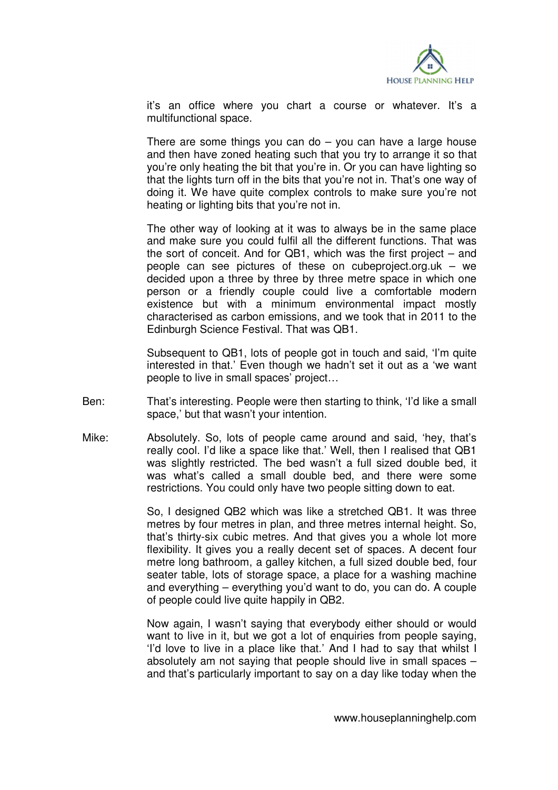

it's an office where you chart a course or whatever. It's a multifunctional space.

There are some things you can do  $-$  you can have a large house and then have zoned heating such that you try to arrange it so that you're only heating the bit that you're in. Or you can have lighting so that the lights turn off in the bits that you're not in. That's one way of doing it. We have quite complex controls to make sure you're not heating or lighting bits that you're not in.

 The other way of looking at it was to always be in the same place and make sure you could fulfil all the different functions. That was the sort of conceit. And for QB1, which was the first project – and people can see pictures of these on cubeproject.org.uk – we decided upon a three by three by three metre space in which one person or a friendly couple could live a comfortable modern existence but with a minimum environmental impact mostly characterised as carbon emissions, and we took that in 2011 to the Edinburgh Science Festival. That was QB1.

 Subsequent to QB1, lots of people got in touch and said, 'I'm quite interested in that.' Even though we hadn't set it out as a 'we want people to live in small spaces' project…

- Ben: That's interesting. People were then starting to think, 'I'd like a small space,' but that wasn't your intention.
- Mike: Absolutely. So, lots of people came around and said, 'hey, that's really cool. I'd like a space like that.' Well, then I realised that QB1 was slightly restricted. The bed wasn't a full sized double bed, it was what's called a small double bed, and there were some restrictions. You could only have two people sitting down to eat.

 So, I designed QB2 which was like a stretched QB1. It was three metres by four metres in plan, and three metres internal height. So, that's thirty-six cubic metres. And that gives you a whole lot more flexibility. It gives you a really decent set of spaces. A decent four metre long bathroom, a galley kitchen, a full sized double bed, four seater table, lots of storage space, a place for a washing machine and everything – everything you'd want to do, you can do. A couple of people could live quite happily in QB2.

 Now again, I wasn't saying that everybody either should or would want to live in it, but we got a lot of enquiries from people saying, 'I'd love to live in a place like that.' And I had to say that whilst I absolutely am not saying that people should live in small spaces – and that's particularly important to say on a day like today when the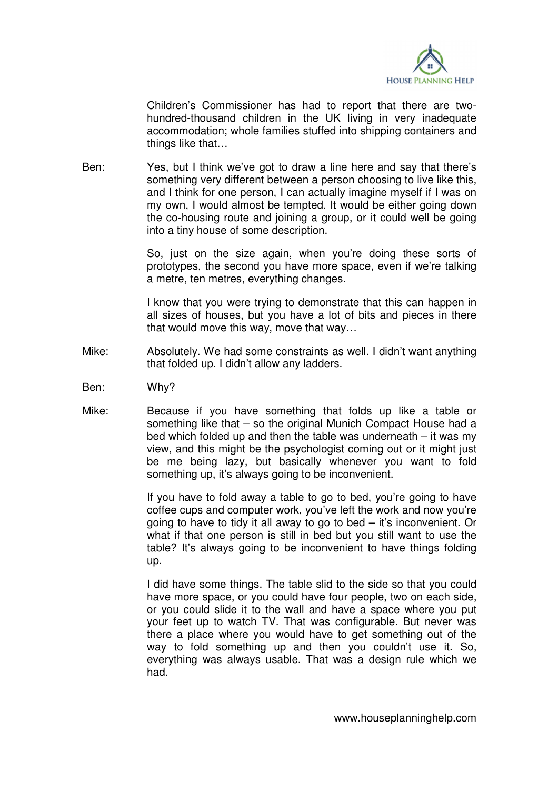

Children's Commissioner has had to report that there are twohundred-thousand children in the UK living in very inadequate accommodation; whole families stuffed into shipping containers and things like that…

Ben: Yes, but I think we've got to draw a line here and say that there's something very different between a person choosing to live like this, and I think for one person, I can actually imagine myself if I was on my own, I would almost be tempted. It would be either going down the co-housing route and joining a group, or it could well be going into a tiny house of some description.

> So, just on the size again, when you're doing these sorts of prototypes, the second you have more space, even if we're talking a metre, ten metres, everything changes.

> I know that you were trying to demonstrate that this can happen in all sizes of houses, but you have a lot of bits and pieces in there that would move this way, move that way…

- Mike: Absolutely. We had some constraints as well. I didn't want anything that folded up. I didn't allow any ladders.
- Ben: Why?
- Mike: Because if you have something that folds up like a table or something like that – so the original Munich Compact House had a bed which folded up and then the table was underneath – it was my view, and this might be the psychologist coming out or it might just be me being lazy, but basically whenever you want to fold something up, it's always going to be inconvenient.

 If you have to fold away a table to go to bed, you're going to have coffee cups and computer work, you've left the work and now you're going to have to tidy it all away to go to bed – it's inconvenient. Or what if that one person is still in bed but you still want to use the table? It's always going to be inconvenient to have things folding up.

 I did have some things. The table slid to the side so that you could have more space, or you could have four people, two on each side, or you could slide it to the wall and have a space where you put your feet up to watch TV. That was configurable. But never was there a place where you would have to get something out of the way to fold something up and then you couldn't use it. So, everything was always usable. That was a design rule which we had.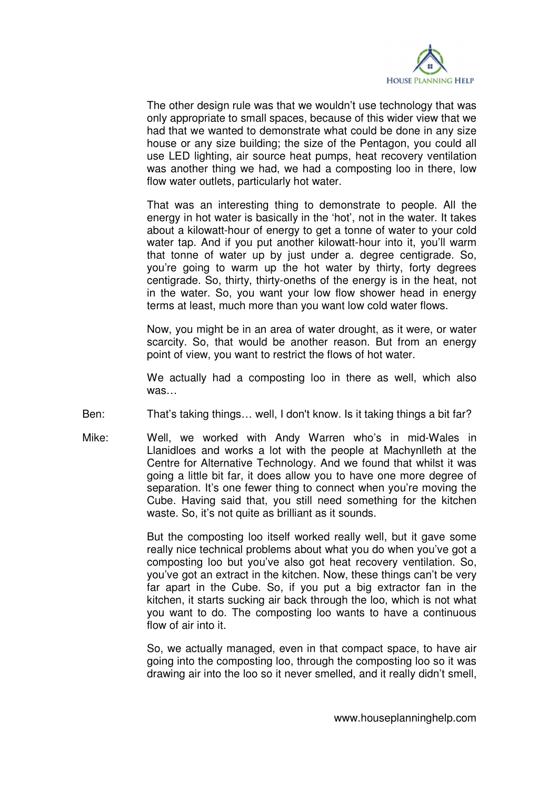

 The other design rule was that we wouldn't use technology that was only appropriate to small spaces, because of this wider view that we had that we wanted to demonstrate what could be done in any size house or any size building; the size of the Pentagon, you could all use LED lighting, air source heat pumps, heat recovery ventilation was another thing we had, we had a composting loo in there, low flow water outlets, particularly hot water.

 That was an interesting thing to demonstrate to people. All the energy in hot water is basically in the 'hot', not in the water. It takes about a kilowatt-hour of energy to get a tonne of water to your cold water tap. And if you put another kilowatt-hour into it, you'll warm that tonne of water up by just under a. degree centigrade. So, you're going to warm up the hot water by thirty, forty degrees centigrade. So, thirty, thirty-oneths of the energy is in the heat, not in the water. So, you want your low flow shower head in energy terms at least, much more than you want low cold water flows.

 Now, you might be in an area of water drought, as it were, or water scarcity. So, that would be another reason. But from an energy point of view, you want to restrict the flows of hot water.

 We actually had a composting loo in there as well, which also was…

- Ben: That's taking things… well, I don't know. Is it taking things a bit far?
- Mike: Well, we worked with Andy Warren who's in mid-Wales in Llanidloes and works a lot with the people at Machynlleth at the Centre for Alternative Technology. And we found that whilst it was going a little bit far, it does allow you to have one more degree of separation. It's one fewer thing to connect when you're moving the Cube. Having said that, you still need something for the kitchen waste. So, it's not quite as brilliant as it sounds.

 But the composting loo itself worked really well, but it gave some really nice technical problems about what you do when you've got a composting loo but you've also got heat recovery ventilation. So, you've got an extract in the kitchen. Now, these things can't be very far apart in the Cube. So, if you put a big extractor fan in the kitchen, it starts sucking air back through the loo, which is not what you want to do. The composting loo wants to have a continuous flow of air into it.

 So, we actually managed, even in that compact space, to have air going into the composting loo, through the composting loo so it was drawing air into the loo so it never smelled, and it really didn't smell,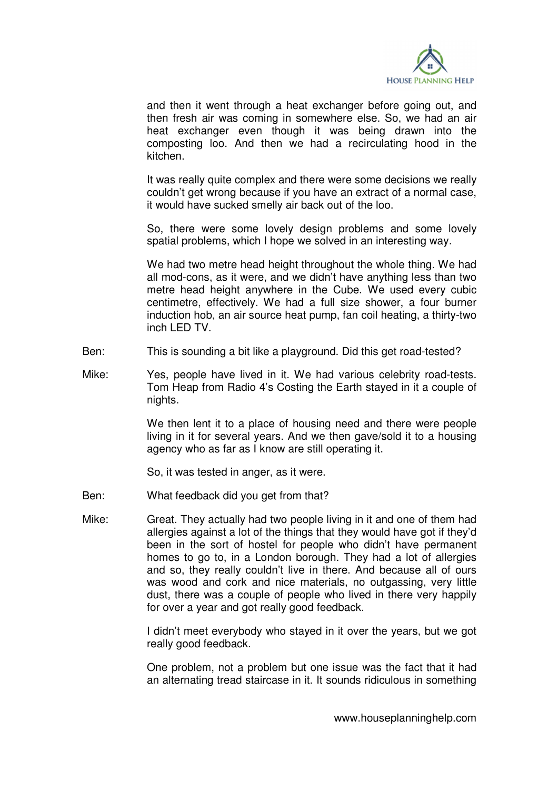

and then it went through a heat exchanger before going out, and then fresh air was coming in somewhere else. So, we had an air heat exchanger even though it was being drawn into the composting loo. And then we had a recirculating hood in the kitchen.

 It was really quite complex and there were some decisions we really couldn't get wrong because if you have an extract of a normal case, it would have sucked smelly air back out of the loo.

 So, there were some lovely design problems and some lovely spatial problems, which I hope we solved in an interesting way.

 We had two metre head height throughout the whole thing. We had all mod-cons, as it were, and we didn't have anything less than two metre head height anywhere in the Cube. We used every cubic centimetre, effectively. We had a full size shower, a four burner induction hob, an air source heat pump, fan coil heating, a thirty-two inch LED TV.

- Ben: This is sounding a bit like a playground. Did this get road-tested?
- Mike: Yes, people have lived in it. We had various celebrity road-tests. Tom Heap from Radio 4's Costing the Earth stayed in it a couple of nights.

 We then lent it to a place of housing need and there were people living in it for several years. And we then gave/sold it to a housing agency who as far as I know are still operating it.

So, it was tested in anger, as it were.

- Ben: What feedback did you get from that?
- Mike: Great. They actually had two people living in it and one of them had allergies against a lot of the things that they would have got if they'd been in the sort of hostel for people who didn't have permanent homes to go to, in a London borough. They had a lot of allergies and so, they really couldn't live in there. And because all of ours was wood and cork and nice materials, no outgassing, very little dust, there was a couple of people who lived in there very happily for over a year and got really good feedback.

 I didn't meet everybody who stayed in it over the years, but we got really good feedback.

 One problem, not a problem but one issue was the fact that it had an alternating tread staircase in it. It sounds ridiculous in something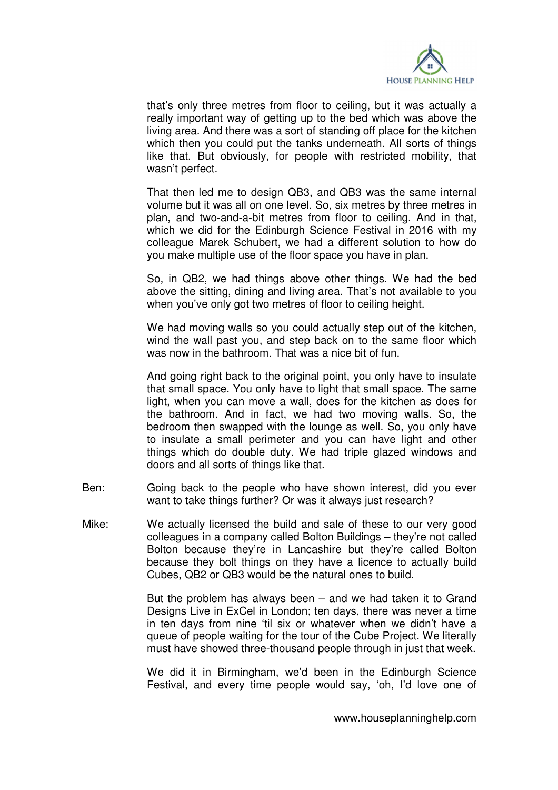

that's only three metres from floor to ceiling, but it was actually a really important way of getting up to the bed which was above the living area. And there was a sort of standing off place for the kitchen which then you could put the tanks underneath. All sorts of things like that. But obviously, for people with restricted mobility, that wasn't perfect.

 That then led me to design QB3, and QB3 was the same internal volume but it was all on one level. So, six metres by three metres in plan, and two-and-a-bit metres from floor to ceiling. And in that, which we did for the Edinburgh Science Festival in 2016 with my colleague Marek Schubert, we had a different solution to how do you make multiple use of the floor space you have in plan.

 So, in QB2, we had things above other things. We had the bed above the sitting, dining and living area. That's not available to you when you've only got two metres of floor to ceiling height.

 We had moving walls so you could actually step out of the kitchen, wind the wall past you, and step back on to the same floor which was now in the bathroom. That was a nice bit of fun.

And going right back to the original point, you only have to insulate that small space. You only have to light that small space. The same light, when you can move a wall, does for the kitchen as does for the bathroom. And in fact, we had two moving walls. So, the bedroom then swapped with the lounge as well. So, you only have to insulate a small perimeter and you can have light and other things which do double duty. We had triple glazed windows and doors and all sorts of things like that.

- Ben: Going back to the people who have shown interest, did you ever want to take things further? Or was it always just research?
- Mike: We actually licensed the build and sale of these to our very good colleagues in a company called Bolton Buildings – they're not called Bolton because they're in Lancashire but they're called Bolton because they bolt things on they have a licence to actually build Cubes, QB2 or QB3 would be the natural ones to build.

 But the problem has always been – and we had taken it to Grand Designs Live in ExCel in London; ten days, there was never a time in ten days from nine 'til six or whatever when we didn't have a queue of people waiting for the tour of the Cube Project. We literally must have showed three-thousand people through in just that week.

 We did it in Birmingham, we'd been in the Edinburgh Science Festival, and every time people would say, 'oh, I'd love one of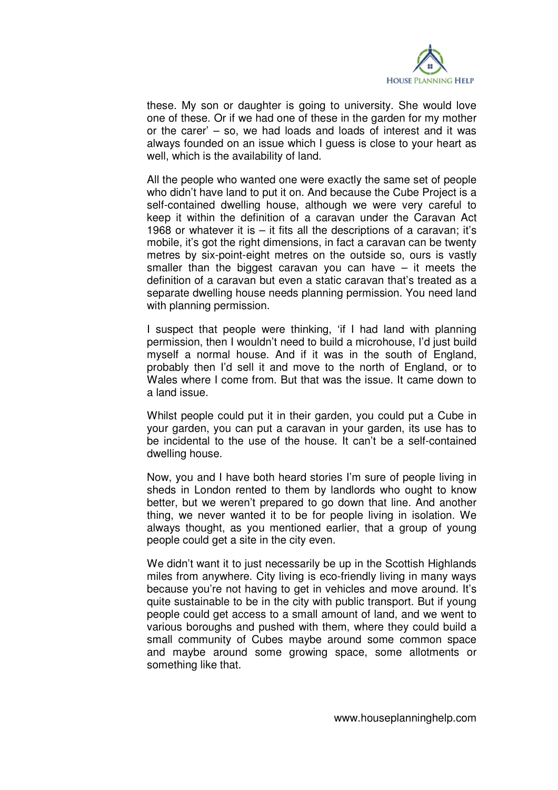

these. My son or daughter is going to university. She would love one of these. Or if we had one of these in the garden for my mother or the carer' – so, we had loads and loads of interest and it was always founded on an issue which I guess is close to your heart as well, which is the availability of land.

 All the people who wanted one were exactly the same set of people who didn't have land to put it on. And because the Cube Project is a self-contained dwelling house, although we were very careful to keep it within the definition of a caravan under the Caravan Act 1968 or whatever it is – it fits all the descriptions of a caravan; it's mobile, it's got the right dimensions, in fact a caravan can be twenty metres by six-point-eight metres on the outside so, ours is vastly smaller than the biggest caravan you can have – it meets the definition of a caravan but even a static caravan that's treated as a separate dwelling house needs planning permission. You need land with planning permission.

 I suspect that people were thinking, 'if I had land with planning permission, then I wouldn't need to build a microhouse, I'd just build myself a normal house. And if it was in the south of England, probably then I'd sell it and move to the north of England, or to Wales where I come from. But that was the issue. It came down to a land issue.

 Whilst people could put it in their garden, you could put a Cube in your garden, you can put a caravan in your garden, its use has to be incidental to the use of the house. It can't be a self-contained dwelling house.

 Now, you and I have both heard stories I'm sure of people living in sheds in London rented to them by landlords who ought to know better, but we weren't prepared to go down that line. And another thing, we never wanted it to be for people living in isolation. We always thought, as you mentioned earlier, that a group of young people could get a site in the city even.

We didn't want it to just necessarily be up in the Scottish Highlands miles from anywhere. City living is eco-friendly living in many ways because you're not having to get in vehicles and move around. It's quite sustainable to be in the city with public transport. But if young people could get access to a small amount of land, and we went to various boroughs and pushed with them, where they could build a small community of Cubes maybe around some common space and maybe around some growing space, some allotments or something like that.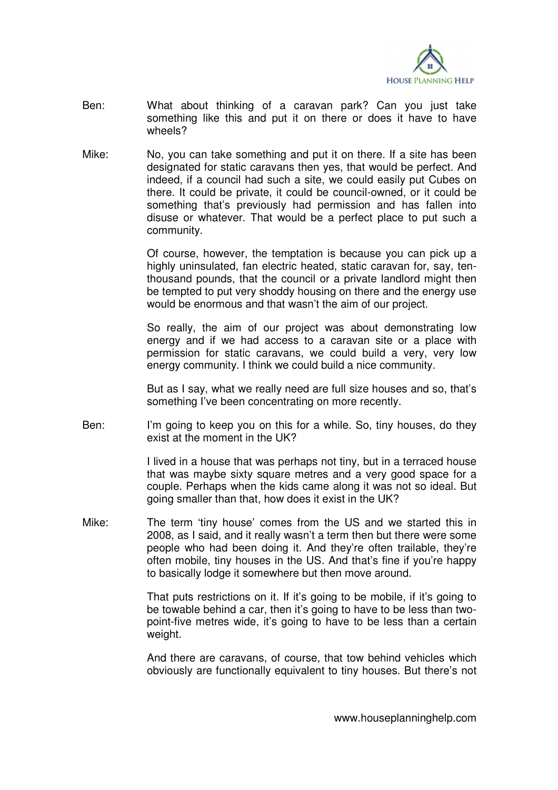

- Ben: What about thinking of a caravan park? Can you just take something like this and put it on there or does it have to have wheels?
- Mike: No, you can take something and put it on there. If a site has been designated for static caravans then yes, that would be perfect. And indeed, if a council had such a site, we could easily put Cubes on there. It could be private, it could be council-owned, or it could be something that's previously had permission and has fallen into disuse or whatever. That would be a perfect place to put such a community.

 Of course, however, the temptation is because you can pick up a highly uninsulated, fan electric heated, static caravan for, say, tenthousand pounds, that the council or a private landlord might then be tempted to put very shoddy housing on there and the energy use would be enormous and that wasn't the aim of our project.

 So really, the aim of our project was about demonstrating low energy and if we had access to a caravan site or a place with permission for static caravans, we could build a very, very low energy community. I think we could build a nice community.

 But as I say, what we really need are full size houses and so, that's something I've been concentrating on more recently.

Ben: I'm going to keep you on this for a while. So, tiny houses, do they exist at the moment in the UK?

> I lived in a house that was perhaps not tiny, but in a terraced house that was maybe sixty square metres and a very good space for a couple. Perhaps when the kids came along it was not so ideal. But going smaller than that, how does it exist in the UK?

Mike: The term 'tiny house' comes from the US and we started this in 2008, as I said, and it really wasn't a term then but there were some people who had been doing it. And they're often trailable, they're often mobile, tiny houses in the US. And that's fine if you're happy to basically lodge it somewhere but then move around.

> That puts restrictions on it. If it's going to be mobile, if it's going to be towable behind a car, then it's going to have to be less than twopoint-five metres wide, it's going to have to be less than a certain weight.

> And there are caravans, of course, that tow behind vehicles which obviously are functionally equivalent to tiny houses. But there's not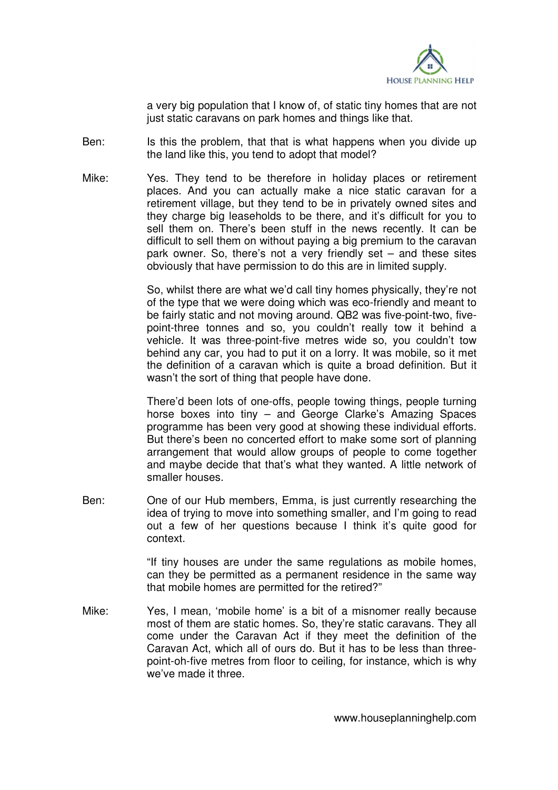

a very big population that I know of, of static tiny homes that are not just static caravans on park homes and things like that.

- Ben: Is this the problem, that that is what happens when you divide up the land like this, you tend to adopt that model?
- Mike: Yes. They tend to be therefore in holiday places or retirement places. And you can actually make a nice static caravan for a retirement village, but they tend to be in privately owned sites and they charge big leaseholds to be there, and it's difficult for you to sell them on. There's been stuff in the news recently. It can be difficult to sell them on without paying a big premium to the caravan park owner. So, there's not a very friendly set – and these sites obviously that have permission to do this are in limited supply.

 So, whilst there are what we'd call tiny homes physically, they're not of the type that we were doing which was eco-friendly and meant to be fairly static and not moving around. QB2 was five-point-two, fivepoint-three tonnes and so, you couldn't really tow it behind a vehicle. It was three-point-five metres wide so, you couldn't tow behind any car, you had to put it on a lorry. It was mobile, so it met the definition of a caravan which is quite a broad definition. But it wasn't the sort of thing that people have done.

 There'd been lots of one-offs, people towing things, people turning horse boxes into tiny – and George Clarke's Amazing Spaces programme has been very good at showing these individual efforts. But there's been no concerted effort to make some sort of planning arrangement that would allow groups of people to come together and maybe decide that that's what they wanted. A little network of smaller houses.

Ben: One of our Hub members, Emma, is just currently researching the idea of trying to move into something smaller, and I'm going to read out a few of her questions because I think it's quite good for context.

> "If tiny houses are under the same regulations as mobile homes, can they be permitted as a permanent residence in the same way that mobile homes are permitted for the retired?"

Mike: Yes, I mean, 'mobile home' is a bit of a misnomer really because most of them are static homes. So, they're static caravans. They all come under the Caravan Act if they meet the definition of the Caravan Act, which all of ours do. But it has to be less than threepoint-oh-five metres from floor to ceiling, for instance, which is why we've made it three.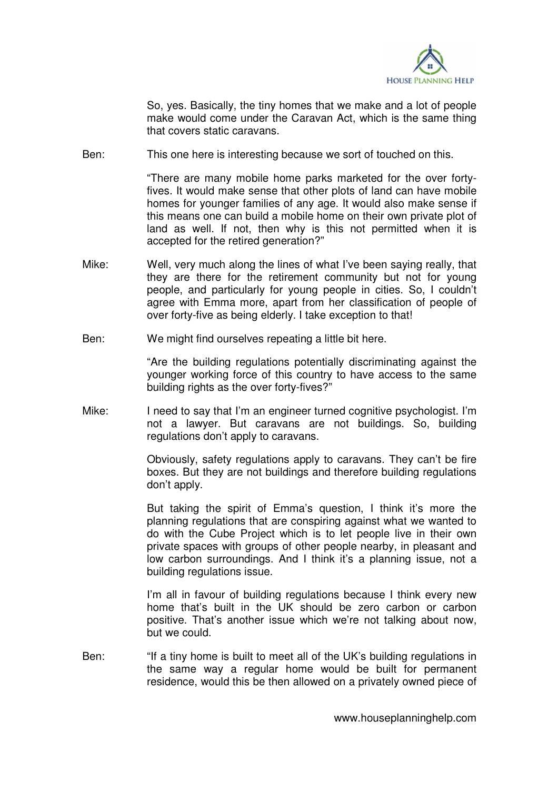

 So, yes. Basically, the tiny homes that we make and a lot of people make would come under the Caravan Act, which is the same thing that covers static caravans.

Ben: This one here is interesting because we sort of touched on this.

 "There are many mobile home parks marketed for the over fortyfives. It would make sense that other plots of land can have mobile homes for younger families of any age. It would also make sense if this means one can build a mobile home on their own private plot of land as well. If not, then why is this not permitted when it is accepted for the retired generation?"

- Mike: Well, very much along the lines of what I've been saying really, that they are there for the retirement community but not for young people, and particularly for young people in cities. So, I couldn't agree with Emma more, apart from her classification of people of over forty-five as being elderly. I take exception to that!
- Ben: We might find ourselves repeating a little bit here.

 "Are the building regulations potentially discriminating against the younger working force of this country to have access to the same building rights as the over forty-fives?"

Mike: I need to say that I'm an engineer turned cognitive psychologist. I'm not a lawyer. But caravans are not buildings. So, building regulations don't apply to caravans.

> Obviously, safety regulations apply to caravans. They can't be fire boxes. But they are not buildings and therefore building regulations don't apply.

> But taking the spirit of Emma's question, I think it's more the planning regulations that are conspiring against what we wanted to do with the Cube Project which is to let people live in their own private spaces with groups of other people nearby, in pleasant and low carbon surroundings. And I think it's a planning issue, not a building regulations issue.

> I'm all in favour of building regulations because I think every new home that's built in the UK should be zero carbon or carbon positive. That's another issue which we're not talking about now, but we could.

Ben: "If a tiny home is built to meet all of the UK's building regulations in the same way a regular home would be built for permanent residence, would this be then allowed on a privately owned piece of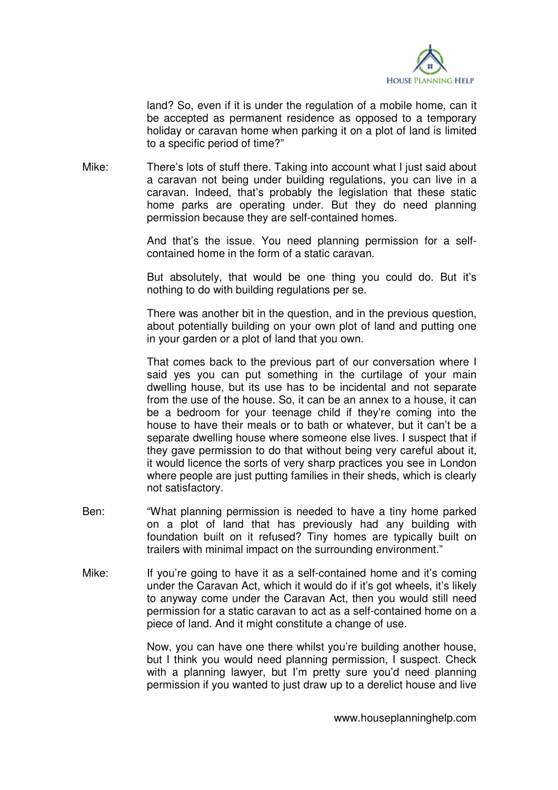

land? So, even if it is under the regulation of a mobile home, can it be accepted as permanent residence as opposed to a temporary holiday or caravan home when parking it on a plot of land is limited to a specific period of time?"

Mike: There's lots of stuff there. Taking into account what I just said about a caravan not being under building regulations, you can live in a caravan. Indeed, that's probably the legislation that these static home parks are operating under. But they do need planning permission because they are self-contained homes.

> And that's the issue. You need planning permission for a selfcontained home in the form of a static caravan.

> But absolutely, that would be one thing you could do. But it's nothing to do with building regulations per se.

> There was another bit in the question, and in the previous question, about potentially building on your own plot of land and putting one in your garden or a plot of land that you own.

> That comes back to the previous part of our conversation where I said yes you can put something in the curtilage of your main dwelling house, but its use has to be incidental and not separate from the use of the house. So, it can be an annex to a house, it can be a bedroom for your teenage child if they're coming into the house to have their meals or to bath or whatever, but it can't be a separate dwelling house where someone else lives. I suspect that if they gave permission to do that without being very careful about it, it would licence the sorts of very sharp practices you see in London where people are just putting families in their sheds, which is clearly not satisfactory.

- Ben: "What planning permission is needed to have a tiny home parked on a plot of land that has previously had any building with foundation built on it refused? Tiny homes are typically built on trailers with minimal impact on the surrounding environment."
- Mike: If you're going to have it as a self-contained home and it's coming under the Caravan Act, which it would do if it's got wheels, it's likely to anyway come under the Caravan Act, then you would still need permission for a static caravan to act as a self-contained home on a piece of land. And it might constitute a change of use.

 Now, you can have one there whilst you're building another house, but I think you would need planning permission, I suspect. Check with a planning lawyer, but I'm pretty sure you'd need planning permission if you wanted to just draw up to a derelict house and live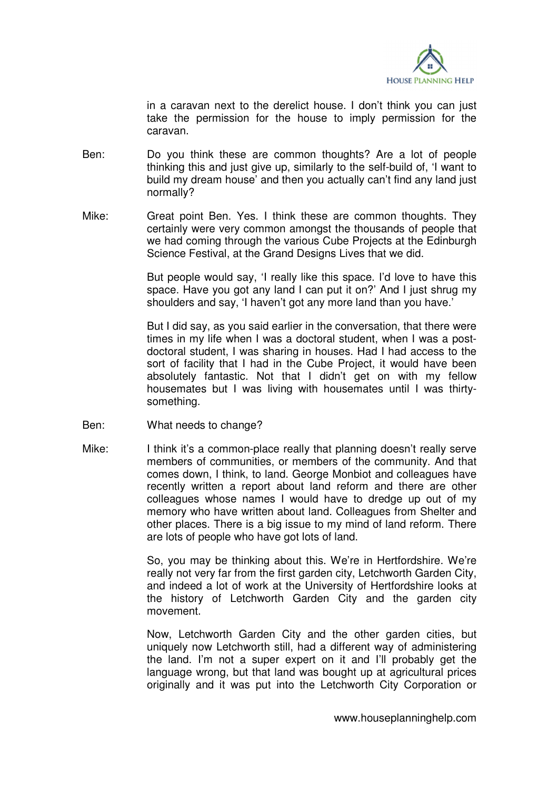

in a caravan next to the derelict house. I don't think you can just take the permission for the house to imply permission for the caravan.

- Ben: Do you think these are common thoughts? Are a lot of people thinking this and just give up, similarly to the self-build of, 'I want to build my dream house' and then you actually can't find any land just normally?
- Mike: Great point Ben. Yes. I think these are common thoughts. They certainly were very common amongst the thousands of people that we had coming through the various Cube Projects at the Edinburgh Science Festival, at the Grand Designs Lives that we did.

 But people would say, 'I really like this space. I'd love to have this space. Have you got any land I can put it on?' And I just shrug my shoulders and say, 'I haven't got any more land than you have.'

 But I did say, as you said earlier in the conversation, that there were times in my life when I was a doctoral student, when I was a postdoctoral student, I was sharing in houses. Had I had access to the sort of facility that I had in the Cube Project, it would have been absolutely fantastic. Not that I didn't get on with my fellow housemates but I was living with housemates until I was thirtysomething.

- Ben: What needs to change?
- Mike: I think it's a common-place really that planning doesn't really serve members of communities, or members of the community. And that comes down, I think, to land. George Monbiot and colleagues have recently written a report about land reform and there are other colleagues whose names I would have to dredge up out of my memory who have written about land. Colleagues from Shelter and other places. There is a big issue to my mind of land reform. There are lots of people who have got lots of land.

 So, you may be thinking about this. We're in Hertfordshire. We're really not very far from the first garden city, Letchworth Garden City, and indeed a lot of work at the University of Hertfordshire looks at the history of Letchworth Garden City and the garden city movement.

 Now, Letchworth Garden City and the other garden cities, but uniquely now Letchworth still, had a different way of administering the land. I'm not a super expert on it and I'll probably get the language wrong, but that land was bought up at agricultural prices originally and it was put into the Letchworth City Corporation or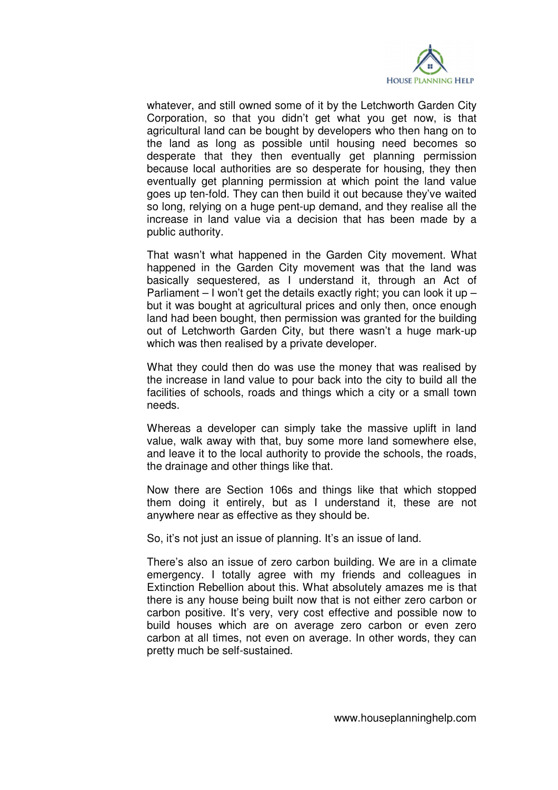

whatever, and still owned some of it by the Letchworth Garden City Corporation, so that you didn't get what you get now, is that agricultural land can be bought by developers who then hang on to the land as long as possible until housing need becomes so desperate that they then eventually get planning permission because local authorities are so desperate for housing, they then eventually get planning permission at which point the land value goes up ten-fold. They can then build it out because they've waited so long, relying on a huge pent-up demand, and they realise all the increase in land value via a decision that has been made by a public authority.

 That wasn't what happened in the Garden City movement. What happened in the Garden City movement was that the land was basically sequestered, as I understand it, through an Act of Parliament  $-1$  won't get the details exactly right; you can look it up  $$ but it was bought at agricultural prices and only then, once enough land had been bought, then permission was granted for the building out of Letchworth Garden City, but there wasn't a huge mark-up which was then realised by a private developer.

 What they could then do was use the money that was realised by the increase in land value to pour back into the city to build all the facilities of schools, roads and things which a city or a small town needs.

 Whereas a developer can simply take the massive uplift in land value, walk away with that, buy some more land somewhere else, and leave it to the local authority to provide the schools, the roads, the drainage and other things like that.

 Now there are Section 106s and things like that which stopped them doing it entirely, but as I understand it, these are not anywhere near as effective as they should be.

So, it's not just an issue of planning. It's an issue of land.

 There's also an issue of zero carbon building. We are in a climate emergency. I totally agree with my friends and colleagues in Extinction Rebellion about this. What absolutely amazes me is that there is any house being built now that is not either zero carbon or carbon positive. It's very, very cost effective and possible now to build houses which are on average zero carbon or even zero carbon at all times, not even on average. In other words, they can pretty much be self-sustained.